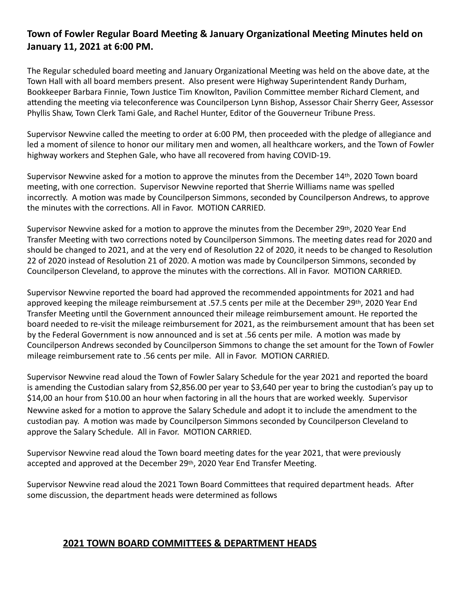## **Town of Fowler Regular Board Meeting & January Organizational Meeting Minutes held on** January 11, 2021 at 6:00 PM.

The Regular scheduled board meeting and January Organizational Meeting was held on the above date, at the Town Hall with all board members present. Also present were Highway Superintendent Randy Durham, Bookkeeper Barbara Finnie, Town Justice Tim Knowlton, Pavilion Committee member Richard Clement, and attending the meeting via teleconference was Councilperson Lynn Bishop, Assessor Chair Sherry Geer, Assessor Phyllis Shaw, Town Clerk Tami Gale, and Rachel Hunter, Editor of the Gouverneur Tribune Press.

Supervisor Newvine called the meeting to order at 6:00 PM, then proceeded with the pledge of allegiance and led a moment of silence to honor our military men and women, all healthcare workers, and the Town of Fowler highway workers and Stephen Gale, who have all recovered from having COVID-19.

Supervisor Newvine asked for a motion to approve the minutes from the December  $14$ <sup>th</sup>, 2020 Town board meeting, with one correction. Supervisor Newvine reported that Sherrie Williams name was spelled incorrectly. A motion was made by Councilperson Simmons, seconded by Councilperson Andrews, to approve the minutes with the corrections. All in Favor. MOTION CARRIED.

Supervisor Newvine asked for a motion to approve the minutes from the December 29th, 2020 Year End Transfer Meeting with two corrections noted by Councilperson Simmons. The meeting dates read for 2020 and should be changed to 2021, and at the very end of Resolution 22 of 2020, it needs to be changed to Resolution 22 of 2020 instead of Resolution 21 of 2020. A motion was made by Councilperson Simmons, seconded by Councilperson Cleveland, to approve the minutes with the corrections. All in Favor. MOTION CARRIED.

Supervisor Newvine reported the board had approved the recommended appointments for 2021 and had approved keeping the mileage reimbursement at .57.5 cents per mile at the December 29th, 2020 Year End Transfer Meeting until the Government announced their mileage reimbursement amount. He reported the board needed to re-visit the mileage reimbursement for 2021, as the reimbursement amount that has been set by the Federal Government is now announced and is set at .56 cents per mile. A motion was made by Councilperson Andrews seconded by Councilperson Simmons to change the set amount for the Town of Fowler mileage reimbursement rate to .56 cents per mile. All in Favor. MOTION CARRIED.

Supervisor Newvine read aloud the Town of Fowler Salary Schedule for the year 2021 and reported the board is amending the Custodian salary from \$2,856.00 per year to \$3,640 per year to bring the custodian's pay up to \$14,00 an hour from \$10.00 an hour when factoring in all the hours that are worked weekly. Supervisor Newvine asked for a motion to approve the Salary Schedule and adopt it to include the amendment to the custodian pay. A motion was made by Councilperson Simmons seconded by Councilperson Cleveland to approve the Salary Schedule. All in Favor. MOTION CARRIED.

Supervisor Newvine read aloud the Town board meeting dates for the year 2021, that were previously accepted and approved at the December 29th, 2020 Year End Transfer Meeting.

Supervisor Newvine read aloud the 2021 Town Board Committees that required department heads. After some discussion, the department heads were determined as follows

### **2021 TOWN BOARD COMMITTEES & DEPARTMENT HEADS**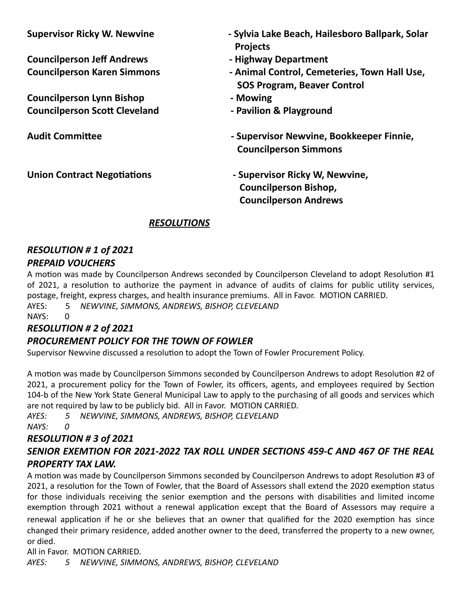**Councilperson Jeff Andrews - Highway Department**

**Councilperson Lynn Bishop - Mowing Councilperson Scott Cleveland and Council and Separate Council person Scott Cleveland** 

- Supervisor Ricky W. Newvine *Newmer Communical Cylvia Lake Beach, Hailesboro Ballpark, Solar* **Projects** 
	-
- **Councilperson Karen Simmons**  The Summal Control, Cemeteries, Town Hall Use, **SOS Program, Beaver Control** 
	-
	-
- Audit Committee *Network Committee Committee <b>Committee* **Committee** *Committee <b>Committee Committee Committee Committee Committee Committee Committee Committee Committee Committee Committee C* **Councilperson Simmons**
- Union Contract Negotiations **buying the Supervisor Ricky W, Newvine, Councilperson Bishop, Councilperson Andrews**

# *RESOLUTIONS*

## *RESOLUTION # 1 of 2021 PREPAID VOUCHERS*

A motion was made by Councilperson Andrews seconded by Councilperson Cleveland to adopt Resolution #1 of 2021, a resolution to authorize the payment in advance of audits of claims for public utility services, postage, freight, express charges, and health insurance premiums. All in Favor. MOTION CARRIED.

AYES: 5 NEWVINE, SIMMONS, ANDREWS, BISHOP, CLEVELAND  $NAYS: 0$ 

# *RESOLUTION # 2 of 2021*

# **PROCUREMENT POLICY FOR THE TOWN OF FOWLER**

Supervisor Newvine discussed a resolution to adopt the Town of Fowler Procurement Policy.

A motion was made by Councilperson Simmons seconded by Councilperson Andrews to adopt Resolution #2 of 2021, a procurement policy for the Town of Fowler, its officers, agents, and employees required by Section 104-b of the New York State General Municipal Law to apply to the purchasing of all goods and services which are not required by law to be publicly bid. All in Favor. MOTION CARRIED.

*AYES: 5 NEWVINE, SIMMONS, ANDREWS, BISHOP, CLEVELAND NAYS: 0*

### *RESOLUTION # 3 of 2021 SENIOR EXEMTION FOR 2021-2022 TAX ROLL UNDER SECTIONS 459-C AND 467 OF THE REAL PROPERTY TAX LAW.*

A motion was made by Councilperson Simmons seconded by Councilperson Andrews to adopt Resolution #3 of 2021, a resolution for the Town of Fowler, that the Board of Assessors shall extend the 2020 exemption status for those individuals receiving the senior exemption and the persons with disabilities and limited income exemption through 2021 without a renewal application except that the Board of Assessors may require a renewal application if he or she believes that an owner that qualified for the 2020 exemption has since changed their primary residence, added another owner to the deed, transferred the property to a new owner, or died.

All in Favor. MOTION CARRIED. *AYES: 5 NEWVINE, SIMMONS, ANDREWS, BISHOP, CLEVELAND*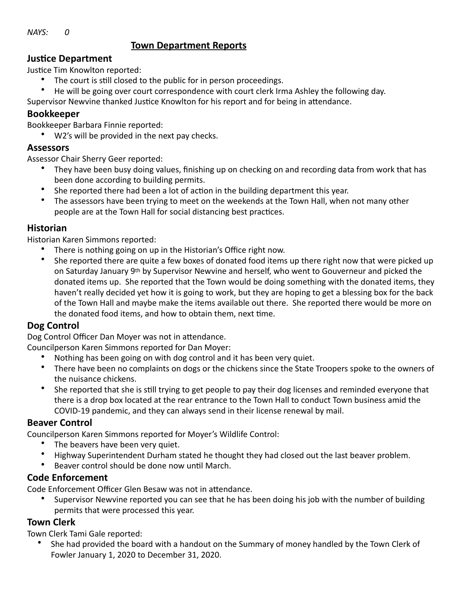$NAYS: 0$ 

## **Town Department Reports**

#### **Justice Department**

Justice Tim Knowlton reported:

- The court is still closed to the public for in person proceedings.
- He will be going over court correspondence with court clerk Irma Ashley the following day.

Supervisor Newvine thanked Justice Knowlton for his report and for being in attendance.

### **Bookkeeper**

Bookkeeper Barbara Finnie reported:

W2's will be provided in the next pay checks.

#### **Assessors**

Assessor Chair Sherry Geer reported:

- They have been busy doing values, finishing up on checking on and recording data from work that has been done according to building permits.
- She reported there had been a lot of action in the building department this year.
- The assessors have been trying to meet on the weekends at the Town Hall, when not many other people are at the Town Hall for social distancing best practices.

## **Historian**

Historian Karen Simmons reported:

- There is nothing going on up in the Historian's Office right now.
- She reported there are quite a few boxes of donated food items up there right now that were picked up on Saturday January 9<sup>th</sup> by Supervisor Newvine and herself, who went to Gouverneur and picked the donated items up. She reported that the Town would be doing something with the donated items, they haven't really decided yet how it is going to work, but they are hoping to get a blessing box for the back of the Town Hall and maybe make the items available out there. She reported there would be more on the donated food items, and how to obtain them, next time.

## **Dog Control**

Dog Control Officer Dan Moyer was not in attendance.

Councilperson Karen Simmons reported for Dan Moyer:

- Nothing has been going on with dog control and it has been very quiet.
- There have been no complaints on dogs or the chickens since the State Troopers spoke to the owners of the nuisance chickens.
- She reported that she is still trying to get people to pay their dog licenses and reminded everyone that there is a drop box located at the rear entrance to the Town Hall to conduct Town business amid the COVID-19 pandemic, and they can always send in their license renewal by mail.

#### **Beaver Control**

Councilperson Karen Simmons reported for Moyer's Wildlife Control:

- The beavers have been very quiet.
- Highway Superintendent Durham stated he thought they had closed out the last beaver problem.
- Beaver control should be done now until March.

## **Code Enforcement**

Code Enforcement Officer Glen Besaw was not in attendance.

Supervisor Newvine reported you can see that he has been doing his job with the number of building permits that were processed this year.

## **Town Clerk**

Town Clerk Tami Gale reported:

She had provided the board with a handout on the Summary of money handled by the Town Clerk of Fowler January 1, 2020 to December 31, 2020.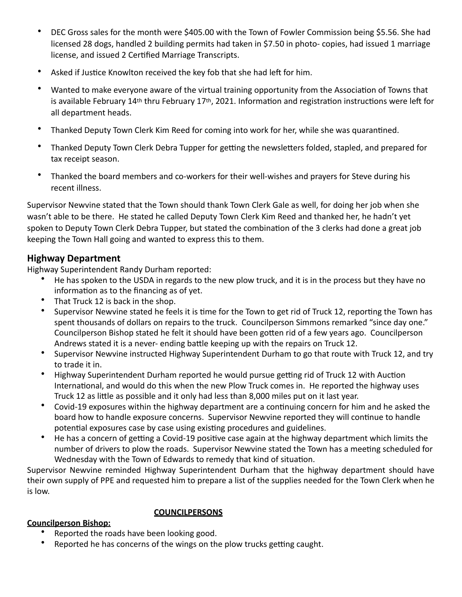- DEC Gross sales for the month were \$405.00 with the Town of Fowler Commission being \$5.56. She had licensed 28 dogs, handled 2 building permits had taken in \$7.50 in photo- copies, had issued 1 marriage license, and issued 2 Certified Marriage Transcripts.
- Asked if Justice Knowlton received the key fob that she had left for him.
- Wanted to make everyone aware of the virtual training opportunity from the Association of Towns that is available February 14<sup>th</sup> thru February 17<sup>th</sup>, 2021. Information and registration instructions were left for all department heads.
- Thanked Deputy Town Clerk Kim Reed for coming into work for her, while she was quarantined.
- Thanked Deputy Town Clerk Debra Tupper for getting the newsletters folded, stapled, and prepared for tax receipt season.
- Thanked the board members and co-workers for their well-wishes and prayers for Steve during his recent illness.

Supervisor Newvine stated that the Town should thank Town Clerk Gale as well, for doing her job when she wasn't able to be there. He stated he called Deputy Town Clerk Kim Reed and thanked her, he hadn't yet spoken to Deputy Town Clerk Debra Tupper, but stated the combination of the 3 clerks had done a great job keeping the Town Hall going and wanted to express this to them.

### **Highway Department**

Highway Superintendent Randy Durham reported:

- He has spoken to the USDA in regards to the new plow truck, and it is in the process but they have no information as to the financing as of yet.
- That Truck 12 is back in the shop.
- Supervisor Newvine stated he feels it is time for the Town to get rid of Truck 12, reporting the Town has spent thousands of dollars on repairs to the truck. Councilperson Simmons remarked "since day one." Councilperson Bishop stated he felt it should have been gotten rid of a few years ago. Councilperson Andrews stated it is a never- ending battle keeping up with the repairs on Truck 12.
- Supervisor Newvine instructed Highway Superintendent Durham to go that route with Truck 12, and try to trade it in.
- Highway Superintendent Durham reported he would pursue getting rid of Truck 12 with Auction International, and would do this when the new Plow Truck comes in. He reported the highway uses Truck 12 as little as possible and it only had less than 8,000 miles put on it last year.
- Covid-19 exposures within the highway department are a continuing concern for him and he asked the board how to handle exposure concerns. Supervisor Newvine reported they will continue to handle potential exposures case by case using existing procedures and guidelines.
- He has a concern of getting a Covid-19 positive case again at the highway department which limits the number of drivers to plow the roads. Supervisor Newvine stated the Town has a meeting scheduled for Wednesday with the Town of Edwards to remedy that kind of situation.

Supervisor Newvine reminded Highway Superintendent Durham that the highway department should have their own supply of PPE and requested him to prepare a list of the supplies needed for the Town Clerk when he is low.

#### **COUNCILPERSONS**

#### **Councilperson Bishop:**

- Reported the roads have been looking good.
- Reported he has concerns of the wings on the plow trucks getting caught.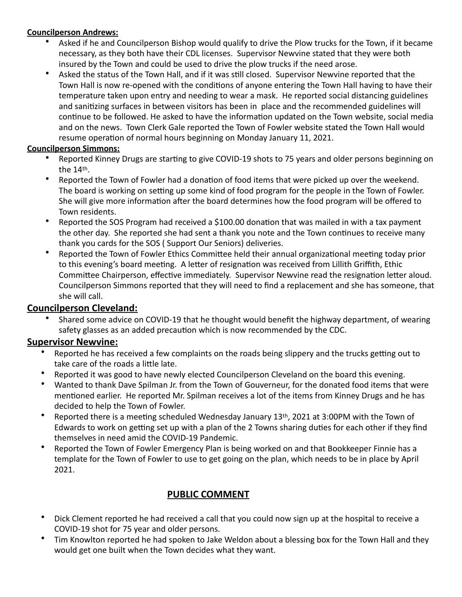#### **Councilperson Andrews:**

- Asked if he and Councilperson Bishop would qualify to drive the Plow trucks for the Town, if it became necessary, as they both have their CDL licenses. Supervisor Newvine stated that they were both insured by the Town and could be used to drive the plow trucks if the need arose.
- Asked the status of the Town Hall, and if it was still closed. Supervisor Newvine reported that the Town Hall is now re-opened with the conditions of anyone entering the Town Hall having to have their temperature taken upon entry and needing to wear a mask. He reported social distancing guidelines and sanitizing surfaces in between visitors has been in place and the recommended guidelines will continue to be followed. He asked to have the information updated on the Town website, social media and on the news. Town Clerk Gale reported the Town of Fowler website stated the Town Hall would resume operation of normal hours beginning on Monday January 11, 2021.

#### **Councilperson Simmons:**

- Reported Kinney Drugs are starting to give COVID-19 shots to 75 years and older persons beginning on the  $14<sup>th</sup>$ .
- Reported the Town of Fowler had a donation of food items that were picked up over the weekend. The board is working on setting up some kind of food program for the people in the Town of Fowler. She will give more information after the board determines how the food program will be offered to Town residents.
- Reported the SOS Program had received a \$100.00 donation that was mailed in with a tax payment the other day. She reported she had sent a thank you note and the Town continues to receive many thank you cards for the SOS (Support Our Seniors) deliveries.
- Reported the Town of Fowler Ethics Committee held their annual organizational meeting today prior to this evening's board meeting. A letter of resignation was received from Lillith Griffith, Ethic Committee Chairperson, effective immediately. Supervisor Newvine read the resignation letter aloud. Councilperson Simmons reported that they will need to find a replacement and she has someone, that she will call.

## **Councilperson Cleveland:**

Shared some advice on COVID-19 that he thought would benefit the highway department, of wearing safety glasses as an added precaution which is now recommended by the CDC.

#### **Supervisor Newvine:**

- Reported he has received a few complaints on the roads being slippery and the trucks getting out to take care of the roads a little late.
- Reported it was good to have newly elected Councilperson Cleveland on the board this evening.
- Wanted to thank Dave Spilman Jr. from the Town of Gouverneur, for the donated food items that were mentioned earlier. He reported Mr. Spilman receives a lot of the items from Kinney Drugs and he has decided to help the Town of Fowler.
- Reported there is a meeting scheduled Wednesday January 13<sup>th</sup>, 2021 at 3:00PM with the Town of Edwards to work on getting set up with a plan of the 2 Towns sharing duties for each other if they find themselves in need amid the COVID-19 Pandemic.
- Reported the Town of Fowler Emergency Plan is being worked on and that Bookkeeper Finnie has a template for the Town of Fowler to use to get going on the plan, which needs to be in place by April 2021.

# **PUBLIC COMMENT**

- Dick Clement reported he had received a call that you could now sign up at the hospital to receive a COVID-19 shot for 75 year and older persons.
- Tim Knowlton reported he had spoken to Jake Weldon about a blessing box for the Town Hall and they would get one built when the Town decides what they want.